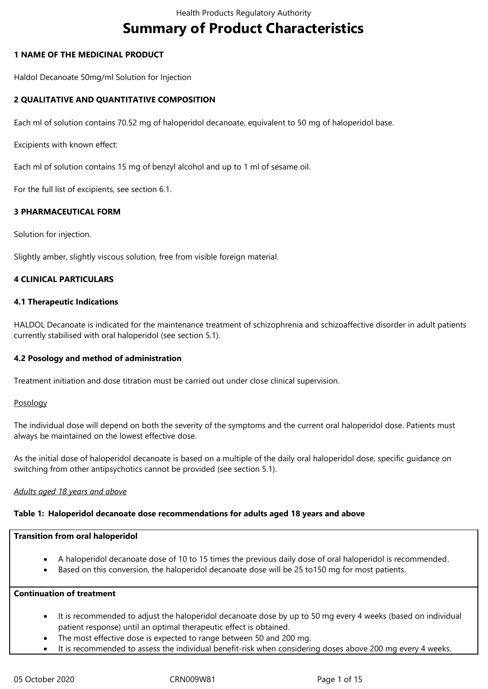# **Summary of Product Characteristics**

## **1 NAME OF THE MEDICINAL PRODUCT**

Haldol Decanoate 50mg/ml Solution for Injection

# **2 QUALITATIVE AND QUANTITATIVE COMPOSITION**

Each ml of solution contains 70.52 mg of haloperidol decanoate, equivalent to 50 mg of haloperidol base.

Excipients with known effect:

Each ml of solution contains 15 mg of benzyl alcohol and up to 1 ml of sesame oil.

For the full list of excipients, see section 6.1.

## **3 PHARMACEUTICAL FORM**

Solution for injection.

Slightly amber, slightly viscous solution, free from visible foreign material.

# **4 CLINICAL PARTICULARS**

#### **4.1 Therapeutic Indications**

HALDOL Decanoate is indicated for the maintenance treatment of schizophrenia and schizoaffective disorder in adult patients currently stabilised with oral haloperidol (see section 5.1).

#### **4.2 Posology and method of administration**

Treatment initiation and dose titration must be carried out under close clinical supervision.

#### **Posology**

The individual dose will depend on both the severity of the symptoms and the current oral haloperidol dose. Patients must always be maintained on the lowest effective dose.

As the initial dose of haloperidol decanoate is based on a multiple of the daily oral haloperidol dose, specific guidance on switching from other antipsychotics cannot be provided (see section 5.1).

#### *Adults aged 18 years and above*

#### **Table 1: Haloperidol decanoate dose recommendations for adults aged 18 years and above**

#### **Transition from oral haloperidol**

- A haloperidol decanoate dose of 10 to 15 times the previous daily dose of oral haloperidol is recommended.
- Based on this conversion, the haloperidol decanoate dose will be 25 to150 mg for most patients.

#### **Continuation of treatment**

- It is recommended to adjust the haloperidol decanoate dose by up to 50 mg every 4 weeks (based on individual patient response) until an optimal therapeutic effect is obtained.
- The most effective dose is expected to range between 50 and 200 mg.
- It is recommended to assess the individual benefit-risk when considering doses above 200 mg every 4 weeks.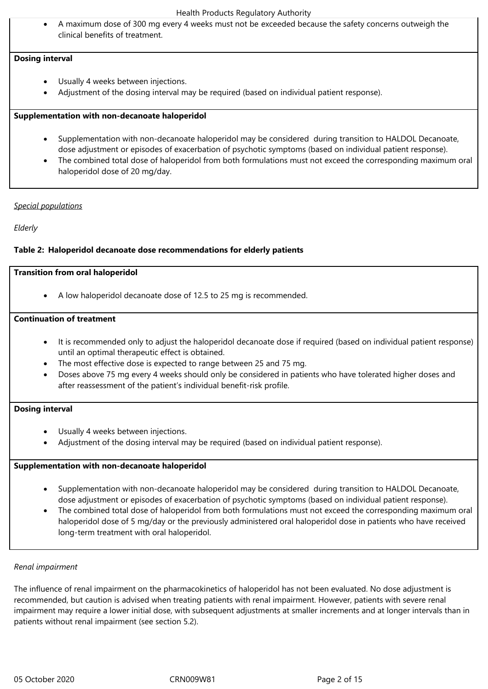A maximum dose of 300 mg every 4 weeks must not be exceeded because the safety concerns outweigh the clinical benefits of treatment.

#### **Dosing interval**

- Usually 4 weeks between injections.
- Adjustment of the dosing interval may be required (based on individual patient response).

#### **Supplementation with non‑decanoate haloperidol**

- Supplementation with non‑decanoate haloperidol may be considered during transition to HALDOL Decanoate, dose adjustment or episodes of exacerbation of psychotic symptoms (based on individual patient response).
- The combined total dose of haloperidol from both formulations must not exceed the corresponding maximum oral haloperidol dose of 20 mg/day.

#### *Special populations*

## *Elderly*

## **Table 2: Haloperidol decanoate dose recommendations for elderly patients**

#### **Transition from oral haloperidol**

A low haloperidol decanoate dose of 12.5 to 25 mg is recommended.

## **Continuation of treatment**

- It is recommended only to adjust the haloperidol decanoate dose if required (based on individual patient response) until an optimal therapeutic effect is obtained.
- The most effective dose is expected to range between 25 and 75 mg.
- Doses above 75 mg every 4 weeks should only be considered in patients who have tolerated higher doses and after reassessment of the patient's individual benefit-risk profile.

#### **Dosing interval**

- Usually 4 weeks between injections.
- Adjustment of the dosing interval may be required (based on individual patient response).

#### **Supplementation with non‑decanoate haloperidol**

- Supplementation with non‑decanoate haloperidol may be considered during transition to HALDOL Decanoate, dose adjustment or episodes of exacerbation of psychotic symptoms (based on individual patient response).
- The combined total dose of haloperidol from both formulations must not exceed the corresponding maximum oral haloperidol dose of 5 mg/day or the previously administered oral haloperidol dose in patients who have received long-term treatment with oral haloperidol.

#### *Renal impairment*

The influence of renal impairment on the pharmacokinetics of haloperidol has not been evaluated. No dose adjustment is recommended, but caution is advised when treating patients with renal impairment. However, patients with severe renal impairment may require a lower initial dose, with subsequent adjustments at smaller increments and at longer intervals than in patients without renal impairment (see section 5.2).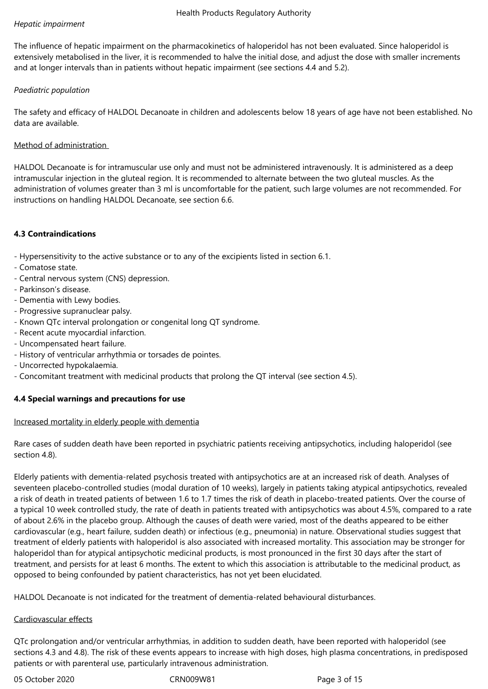# *Hepatic impairment*

The influence of hepatic impairment on the pharmacokinetics of haloperidol has not been evaluated. Since haloperidol is extensively metabolised in the liver, it is recommended to halve the initial dose, and adjust the dose with smaller increments and at longer intervals than in patients without hepatic impairment (see sections 4.4 and 5.2).

# *Paediatric population*

The safety and efficacy of HALDOL Decanoate in children and adolescents below 18 years of age have not been established. No data are available.

# Method of administration

HALDOL Decanoate is for intramuscular use only and must not be administered intravenously. It is administered as a deep intramuscular injection in the gluteal region. It is recommended to alternate between the two gluteal muscles. As the administration of volumes greater than 3 ml is uncomfortable for the patient, such large volumes are not recommended. For instructions on handling HALDOL Decanoate, see section 6.6.

# **4.3 Contraindications**

- Hypersensitivity to the active substance or to any of the excipients listed in section 6.1.

- Comatose state.
- Central nervous system (CNS) depression.
- Parkinson's disease.
- Dementia with Lewy bodies.
- Progressive supranuclear palsy.
- Known QTc interval prolongation or congenital long QT syndrome.
- Recent acute myocardial infarction.
- Uncompensated heart failure.
- History of ventricular arrhythmia or torsades de pointes.
- Uncorrected hypokalaemia.
- Concomitant treatment with medicinal products that prolong the QT interval (see section 4.5).

# **4.4 Special warnings and precautions for use**

#### Increased mortality in elderly people with dementia

Rare cases of sudden death have been reported in psychiatric patients receiving antipsychotics, including haloperidol (see section 4.8).

Elderly patients with dementia‑related psychosis treated with antipsychotics are at an increased risk of death. Analyses of seventeen placebo-controlled studies (modal duration of 10 weeks), largely in patients taking atypical antipsychotics, revealed a risk of death in treated patients of between 1.6 to 1.7 times the risk of death in placebo-treated patients. Over the course of a typical 10 week controlled study, the rate of death in patients treated with antipsychotics was about 4.5%, compared to a rate of about 2.6% in the placebo group. Although the causes of death were varied, most of the deaths appeared to be either cardiovascular (e.g., heart failure, sudden death) or infectious (e.g., pneumonia) in nature. Observational studies suggest that treatment of elderly patients with haloperidol is also associated with increased mortality. This association may be stronger for haloperidol than for atypical antipsychotic medicinal products, is most pronounced in the first 30 days after the start of treatment, and persists for at least 6 months. The extent to which this association is attributable to the medicinal product, as opposed to being confounded by patient characteristics, has not yet been elucidated.

HALDOL Decanoate is not indicated for the treatment of dementia‑related behavioural disturbances.

#### Cardiovascular effects

QTc prolongation and/or ventricular arrhythmias, in addition to sudden death, have been reported with haloperidol (see sections 4.3 and 4.8). The risk of these events appears to increase with high doses, high plasma concentrations, in predisposed patients or with parenteral use, particularly intravenous administration.

05 October 2020 CRN009W81 Page 3 of 15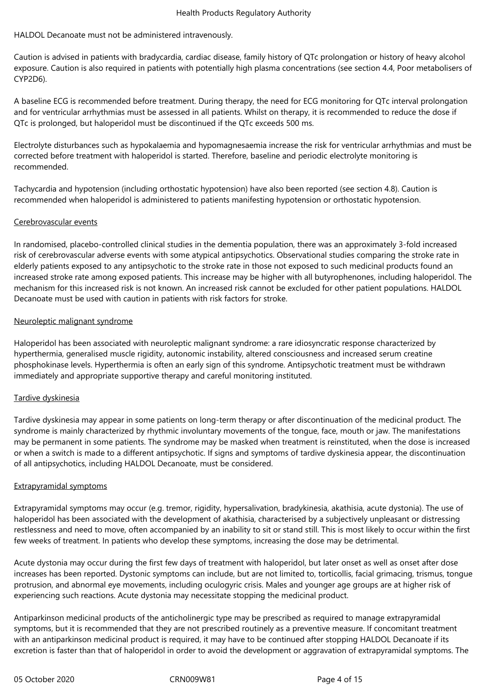#### HALDOL Decanoate must not be administered intravenously.

Caution is advised in patients with bradycardia, cardiac disease, family history of QTc prolongation or history of heavy alcohol exposure. Caution is also required in patients with potentially high plasma concentrations (see section 4.4, Poor metabolisers of CYP2D6).

A baseline ECG is recommended before treatment. During therapy, the need for ECG monitoring for QTc interval prolongation and for ventricular arrhythmias must be assessed in all patients. Whilst on therapy, it is recommended to reduce the dose if QTc is prolonged, but haloperidol must be discontinued if the QTc exceeds 500 ms.

Electrolyte disturbances such as hypokalaemia and hypomagnesaemia increase the risk for ventricular arrhythmias and must be corrected before treatment with haloperidol is started. Therefore, baseline and periodic electrolyte monitoring is recommended.

Tachycardia and hypotension (including orthostatic hypotension) have also been reported (see section 4.8). Caution is recommended when haloperidol is administered to patients manifesting hypotension or orthostatic hypotension.

#### Cerebrovascular events

In randomised, placebo-controlled clinical studies in the dementia population, there was an approximately 3-fold increased risk of cerebrovascular adverse events with some atypical antipsychotics. Observational studies comparing the stroke rate in elderly patients exposed to any antipsychotic to the stroke rate in those not exposed to such medicinal products found an increased stroke rate among exposed patients. This increase may be higher with all butyrophenones, including haloperidol. The mechanism for this increased risk is not known. An increased risk cannot be excluded for other patient populations. HALDOL Decanoate must be used with caution in patients with risk factors for stroke.

## Neuroleptic malignant syndrome

Haloperidol has been associated with neuroleptic malignant syndrome: a rare idiosyncratic response characterized by hyperthermia, generalised muscle rigidity, autonomic instability, altered consciousness and increased serum creatine phosphokinase levels. Hyperthermia is often an early sign of this syndrome. Antipsychotic treatment must be withdrawn immediately and appropriate supportive therapy and careful monitoring instituted.

# Tardive dyskinesia

Tardive dyskinesia may appear in some patients on long‑term therapy or after discontinuation of the medicinal product. The syndrome is mainly characterized by rhythmic involuntary movements of the tongue, face, mouth or jaw. The manifestations may be permanent in some patients. The syndrome may be masked when treatment is reinstituted, when the dose is increased or when a switch is made to a different antipsychotic. If signs and symptoms of tardive dyskinesia appear, the discontinuation of all antipsychotics, including HALDOL Decanoate, must be considered.

#### Extrapyramidal symptoms

Extrapyramidal symptoms may occur (e.g. tremor, rigidity, hypersalivation, bradykinesia, akathisia, acute dystonia). The use of haloperidol has been associated with the development of akathisia, characterised by a subjectively unpleasant or distressing restlessness and need to move, often accompanied by an inability to sit or stand still. This is most likely to occur within the first few weeks of treatment. In patients who develop these symptoms, increasing the dose may be detrimental.

Acute dystonia may occur during the first few days of treatment with haloperidol, but later onset as well as onset after dose increases has been reported. Dystonic symptoms can include, but are not limited to, torticollis, facial grimacing, trismus, tongue protrusion, and abnormal eye movements, including oculogyric crisis. Males and younger age groups are at higher risk of experiencing such reactions. Acute dystonia may necessitate stopping the medicinal product.

Antiparkinson medicinal products of the anticholinergic type may be prescribed as required to manage extrapyramidal symptoms, but it is recommended that they are not prescribed routinely as a preventive measure. If concomitant treatment with an antiparkinson medicinal product is required, it may have to be continued after stopping HALDOL Decanoate if its excretion is faster than that of haloperidol in order to avoid the development or aggravation of extrapyramidal symptoms. The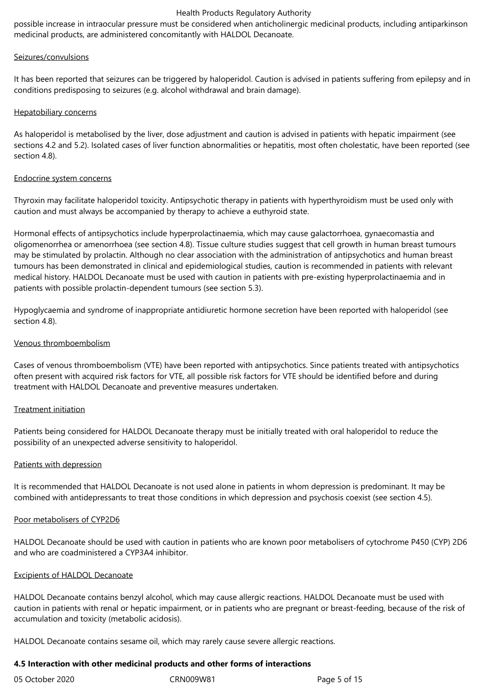possible increase in intraocular pressure must be considered when anticholinergic medicinal products, including antiparkinson medicinal products, are administered concomitantly with HALDOL Decanoate.

#### Seizures/convulsions

It has been reported that seizures can be triggered by haloperidol. Caution is advised in patients suffering from epilepsy and in conditions predisposing to seizures (e.g. alcohol withdrawal and brain damage).

#### Hepatobiliary concerns

As haloperidol is metabolised by the liver, dose adjustment and caution is advised in patients with hepatic impairment (see sections 4.2 and 5.2). Isolated cases of liver function abnormalities or hepatitis, most often cholestatic, have been reported (see section 4.8).

## Endocrine system concerns

Thyroxin may facilitate haloperidol toxicity. Antipsychotic therapy in patients with hyperthyroidism must be used only with caution and must always be accompanied by therapy to achieve a euthyroid state.

Hormonal effects of antipsychotics include hyperprolactinaemia, which may cause galactorrhoea, gynaecomastia and oligomenorrhea or amenorrhoea (see section 4.8). Tissue culture studies suggest that cell growth in human breast tumours may be stimulated by prolactin. Although no clear association with the administration of antipsychotics and human breast tumours has been demonstrated in clinical and epidemiological studies, caution is recommended in patients with relevant medical history. HALDOL Decanoate must be used with caution in patients with pre‑existing hyperprolactinaemia and in patients with possible prolactin‑dependent tumours (see section 5.3).

Hypoglycaemia and syndrome of inappropriate antidiuretic hormone secretion have been reported with haloperidol (see section 4.8).

#### Venous thromboembolism

Cases of venous thromboembolism (VTE) have been reported with antipsychotics. Since patients treated with antipsychotics often present with acquired risk factors for VTE, all possible risk factors for VTE should be identified before and during treatment with HALDOL Decanoate and preventive measures undertaken.

# Treatment initiation

Patients being considered for HALDOL Decanoate therapy must be initially treated with oral haloperidol to reduce the possibility of an unexpected adverse sensitivity to haloperidol.

#### Patients with depression

It is recommended that HALDOL Decanoate is not used alone in patients in whom depression is predominant. It may be combined with antidepressants to treat those conditions in which depression and psychosis coexist (see section 4.5).

## Poor metabolisers of CYP2D6

HALDOL Decanoate should be used with caution in patients who are known poor metabolisers of cytochrome P450 (CYP) 2D6 and who are coadministered a CYP3A4 inhibitor.

#### Excipients of HALDOL Decanoate

HALDOL Decanoate contains benzyl alcohol, which may cause allergic reactions. HALDOL Decanoate must be used with caution in patients with renal or hepatic impairment, or in patients who are pregnant or breast-feeding, because of the risk of accumulation and toxicity (metabolic acidosis).

HALDOL Decanoate contains sesame oil, which may rarely cause severe allergic reactions.

#### **4.5 Interaction with other medicinal products and other forms of interactions**

| 05 October 2020 | CRN009W81 | Page 5 of 15 |
|-----------------|-----------|--------------|
|                 |           |              |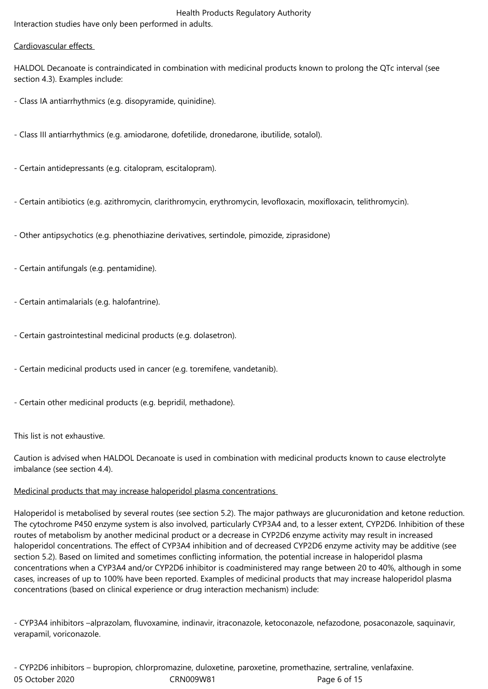# Health Products Regulatory Authority Interaction studies have only been performed in adults.

# Cardiovascular effects

HALDOL Decanoate is contraindicated in combination with medicinal products known to prolong the QTc interval (see section 4.3). Examples include:

- Class IA antiarrhythmics (e.g. disopyramide, quinidine).
- Class III antiarrhythmics (e.g. amiodarone, dofetilide, dronedarone, ibutilide, sotalol).
- Certain antidepressants (e.g. citalopram, escitalopram).
- Certain antibiotics (e.g. azithromycin, clarithromycin, erythromycin, levofloxacin, moxifloxacin, telithromycin).
- Other antipsychotics (e.g. phenothiazine derivatives, sertindole, pimozide, ziprasidone)
- Certain antifungals (e.g. pentamidine).
- Certain antimalarials (e.g. halofantrine).
- Certain gastrointestinal medicinal products (e.g. dolasetron).
- Certain medicinal products used in cancer (e.g. toremifene, vandetanib).
- Certain other medicinal products (e.g. bepridil, methadone).

# This list is not exhaustive.

Caution is advised when HALDOL Decanoate is used in combination with medicinal products known to cause electrolyte imbalance (see section 4.4).

# Medicinal products that may increase haloperidol plasma concentrations

Haloperidol is metabolised by several routes (see section 5.2). The major pathways are glucuronidation and ketone reduction. The cytochrome P450 enzyme system is also involved, particularly CYP3A4 and, to a lesser extent, CYP2D6. Inhibition of these routes of metabolism by another medicinal product or a decrease in CYP2D6 enzyme activity may result in increased haloperidol concentrations. The effect of CYP3A4 inhibition and of decreased CYP2D6 enzyme activity may be additive (see section 5.2). Based on limited and sometimes conflicting information, the potential increase in haloperidol plasma concentrations when a CYP3A4 and/or CYP2D6 inhibitor is coadministered may range between 20 to 40%, although in some cases, increases of up to 100% have been reported. Examples of medicinal products that may increase haloperidol plasma concentrations (based on clinical experience or drug interaction mechanism) include:

- CYP3A4 inhibitors –alprazolam, fluvoxamine, indinavir, itraconazole, ketoconazole, nefazodone, posaconazole, saquinavir, verapamil, voriconazole.

05 October 2020 CRN009W81 Page 6 of 15 - CYP2D6 inhibitors – bupropion, chlorpromazine, duloxetine, paroxetine, promethazine, sertraline, venlafaxine.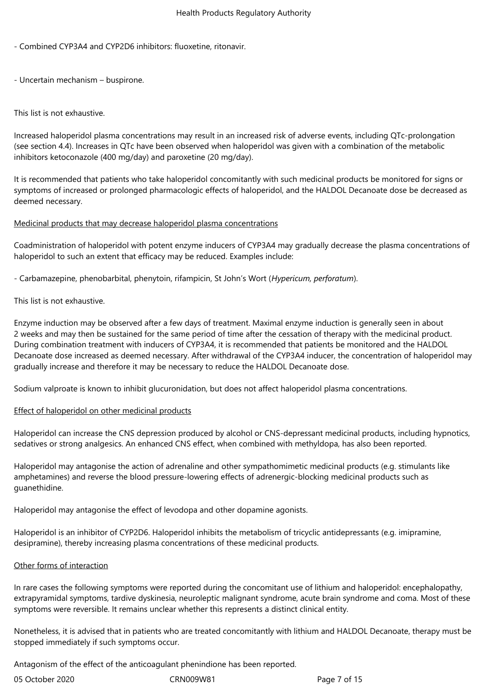- Combined CYP3A4 and CYP2D6 inhibitors: fluoxetine, ritonavir.
- Uncertain mechanism buspirone.

This list is not exhaustive.

Increased haloperidol plasma concentrations may result in an increased risk of adverse events, including QTc‑prolongation (see section 4.4). Increases in QTc have been observed when haloperidol was given with a combination of the metabolic inhibitors ketoconazole (400 mg/day) and paroxetine (20 mg/day).

It is recommended that patients who take haloperidol concomitantly with such medicinal products be monitored for signs or symptoms of increased or prolonged pharmacologic effects of haloperidol, and the HALDOL Decanoate dose be decreased as deemed necessary.

#### Medicinal products that may decrease haloperidol plasma concentrations

Coadministration of haloperidol with potent enzyme inducers of CYP3A4 may gradually decrease the plasma concentrations of haloperidol to such an extent that efficacy may be reduced. Examples include:

- Carbamazepine, phenobarbital, phenytoin, rifampicin, St John's Wort (*Hypericum, perforatum*).

## This list is not exhaustive.

Enzyme induction may be observed after a few days of treatment. Maximal enzyme induction is generally seen in about 2 weeks and may then be sustained for the same period of time after the cessation of therapy with the medicinal product. During combination treatment with inducers of CYP3A4, it is recommended that patients be monitored and the HALDOL Decanoate dose increased as deemed necessary. After withdrawal of the CYP3A4 inducer, the concentration of haloperidol may gradually increase and therefore it may be necessary to reduce the HALDOL Decanoate dose.

Sodium valproate is known to inhibit glucuronidation, but does not affect haloperidol plasma concentrations.

#### Effect of haloperidol on other medicinal products

Haloperidol can increase the CNS depression produced by alcohol or CNS‑depressant medicinal products, including hypnotics, sedatives or strong analgesics. An enhanced CNS effect, when combined with methyldopa, has also been reported.

Haloperidol may antagonise the action of adrenaline and other sympathomimetic medicinal products (e.g. stimulants like amphetamines) and reverse the blood pressure-lowering effects of adrenergic-blocking medicinal products such as guanethidine.

Haloperidol may antagonise the effect of levodopa and other dopamine agonists.

Haloperidol is an inhibitor of CYP2D6. Haloperidol inhibits the metabolism of tricyclic antidepressants (e.g. imipramine, desipramine), thereby increasing plasma concentrations of these medicinal products.

#### Other forms of interaction

In rare cases the following symptoms were reported during the concomitant use of lithium and haloperidol: encephalopathy, extrapyramidal symptoms, tardive dyskinesia, neuroleptic malignant syndrome, acute brain syndrome and coma. Most of these symptoms were reversible. It remains unclear whether this represents a distinct clinical entity.

Nonetheless, it is advised that in patients who are treated concomitantly with lithium and HALDOL Decanoate, therapy must be stopped immediately if such symptoms occur.

Antagonism of the effect of the anticoagulant phenindione has been reported.

| 05 October 2020 | CRN00 |
|-----------------|-------|
|-----------------|-------|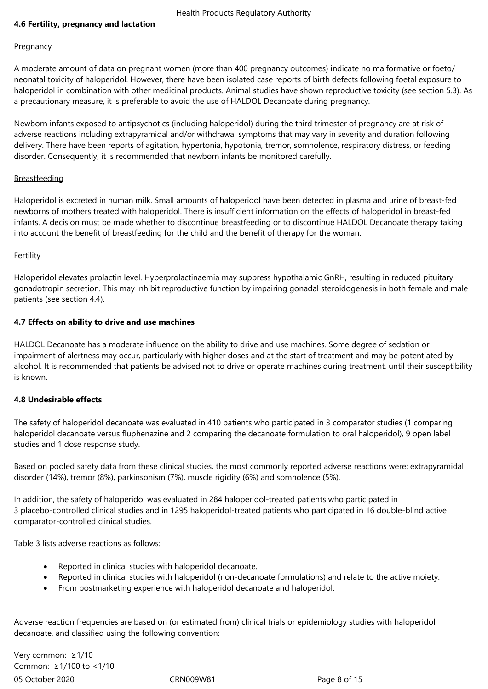# **4.6 Fertility, pregnancy and lactation**

#### **Pregnancy**

A moderate amount of data on pregnant women (more than 400 pregnancy outcomes) indicate no malformative or foeto/ neonatal toxicity of haloperidol. However, there have been isolated case reports of birth defects following foetal exposure to haloperidol in combination with other medicinal products. Animal studies have shown reproductive toxicity (see section 5.3). As a precautionary measure, it is preferable to avoid the use of HALDOL Decanoate during pregnancy.

Newborn infants exposed to antipsychotics (including haloperidol) during the third trimester of pregnancy are at risk of adverse reactions including extrapyramidal and/or withdrawal symptoms that may vary in severity and duration following delivery. There have been reports of agitation, hypertonia, hypotonia, tremor, somnolence, respiratory distress, or feeding disorder. Consequently, it is recommended that newborn infants be monitored carefully.

#### Breastfeeding

Haloperidol is excreted in human milk. Small amounts of haloperidol have been detected in plasma and urine of breast-fed newborns of mothers treated with haloperidol. There is insufficient information on the effects of haloperidol in breast-fed infants. A decision must be made whether to discontinue breastfeeding or to discontinue HALDOL Decanoate therapy taking into account the benefit of breastfeeding for the child and the benefit of therapy for the woman.

#### Fertility

Haloperidol elevates prolactin level. Hyperprolactinaemia may suppress hypothalamic GnRH, resulting in reduced pituitary gonadotropin secretion. This may inhibit reproductive function by impairing gonadal steroidogenesis in both female and male patients (see section 4.4).

#### **4.7 Effects on ability to drive and use machines**

HALDOL Decanoate has a moderate influence on the ability to drive and use machines. Some degree of sedation or impairment of alertness may occur, particularly with higher doses and at the start of treatment and may be potentiated by alcohol. It is recommended that patients be advised not to drive or operate machines during treatment, until their susceptibility is known.

#### **4.8 Undesirable effects**

The safety of haloperidol decanoate was evaluated in 410 patients who participated in 3 comparator studies (1 comparing haloperidol decanoate versus fluphenazine and 2 comparing the decanoate formulation to oral haloperidol), 9 open label studies and 1 dose response study.

Based on pooled safety data from these clinical studies, the most commonly reported adverse reactions were: extrapyramidal disorder (14%), tremor (8%), parkinsonism (7%), muscle rigidity (6%) and somnolence (5%).

In addition, the safety of haloperidol was evaluated in 284 haloperidol-treated patients who participated in 3 placebo-controlled clinical studies and in 1295 haloperidol-treated patients who participated in 16 double-blind active comparator‑controlled clinical studies.

Table 3 lists adverse reactions as follows:

- Reported in clinical studies with haloperidol decanoate.
- Reported in clinical studies with haloperidol (non‑decanoate formulations) and relate to the active moiety.
- From postmarketing experience with haloperidol decanoate and haloperidol.

Adverse reaction frequencies are based on (or estimated from) clinical trials or epidemiology studies with haloperidol decanoate, and classified using the following convention:

05 October 2020 CRN009W81 Page 8 of 15 Very common: ≥1/10 Common: ≥1/100 to <1/10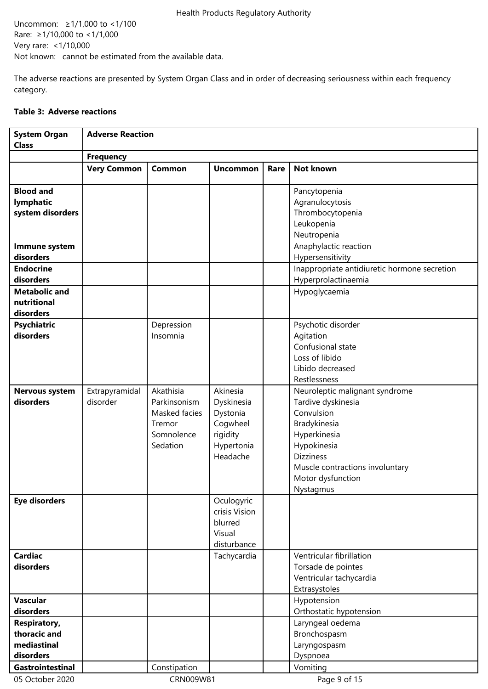Uncommon: ≥1/1,000 to <1/100 Rare: ≥1/10,000 to <1/1,000 Very rare: <1/10,000 Not known: cannot be estimated from the available data.

The adverse reactions are presented by System Organ Class and in order of decreasing seriousness within each frequency category.

#### **Table 3: Adverse reactions**

| <b>System Organ</b><br><b>Class</b> | <b>Adverse Reaction</b> |               |                 |      |                                              |  |
|-------------------------------------|-------------------------|---------------|-----------------|------|----------------------------------------------|--|
|                                     | <b>Frequency</b>        |               |                 |      |                                              |  |
|                                     | <b>Very Common</b>      | Common        | <b>Uncommon</b> | Rare | <b>Not known</b>                             |  |
|                                     |                         |               |                 |      |                                              |  |
| <b>Blood and</b>                    |                         |               |                 |      | Pancytopenia                                 |  |
| lymphatic                           |                         |               |                 |      | Agranulocytosis                              |  |
| system disorders                    |                         |               |                 |      | Thrombocytopenia                             |  |
|                                     |                         |               |                 |      | Leukopenia                                   |  |
|                                     |                         |               |                 |      | Neutropenia                                  |  |
| Immune system                       |                         |               |                 |      | Anaphylactic reaction                        |  |
| disorders                           |                         |               |                 |      | Hypersensitivity                             |  |
| <b>Endocrine</b>                    |                         |               |                 |      | Inappropriate antidiuretic hormone secretion |  |
| disorders                           |                         |               |                 |      | Hyperprolactinaemia                          |  |
| <b>Metabolic and</b>                |                         |               |                 |      | Hypoglycaemia                                |  |
| nutritional                         |                         |               |                 |      |                                              |  |
| disorders                           |                         |               |                 |      |                                              |  |
| <b>Psychiatric</b>                  |                         | Depression    |                 |      | Psychotic disorder                           |  |
| disorders                           |                         | Insomnia      |                 |      | Agitation                                    |  |
|                                     |                         |               |                 |      | Confusional state                            |  |
|                                     |                         |               |                 |      | Loss of libido                               |  |
|                                     |                         |               |                 |      | Libido decreased                             |  |
|                                     |                         |               |                 |      | Restlessness                                 |  |
| <b>Nervous system</b>               | Extrapyramidal          | Akathisia     | Akinesia        |      | Neuroleptic malignant syndrome               |  |
| disorders                           | disorder                | Parkinsonism  | Dyskinesia      |      | Tardive dyskinesia                           |  |
|                                     |                         | Masked facies | Dystonia        |      | Convulsion                                   |  |
|                                     |                         | Tremor        | Cogwheel        |      | Bradykinesia                                 |  |
|                                     |                         | Somnolence    | rigidity        |      | Hyperkinesia                                 |  |
|                                     |                         | Sedation      | Hypertonia      |      | Hypokinesia                                  |  |
|                                     |                         |               | Headache        |      | <b>Dizziness</b>                             |  |
|                                     |                         |               |                 |      | Muscle contractions involuntary              |  |
|                                     |                         |               |                 |      | Motor dysfunction                            |  |
|                                     |                         |               |                 |      | Nystagmus                                    |  |
| <b>Eye disorders</b>                |                         |               | Oculogyric      |      |                                              |  |
|                                     |                         |               | crisis Vision   |      |                                              |  |
|                                     |                         |               | blurred         |      |                                              |  |
|                                     |                         |               | Visual          |      |                                              |  |
|                                     |                         |               | disturbance     |      |                                              |  |
| <b>Cardiac</b>                      |                         |               | Tachycardia     |      | Ventricular fibrillation                     |  |
| disorders                           |                         |               |                 |      | Torsade de pointes                           |  |
|                                     |                         |               |                 |      | Ventricular tachycardia                      |  |
|                                     |                         |               |                 |      | Extrasystoles                                |  |
| <b>Vascular</b>                     |                         |               |                 |      | Hypotension                                  |  |
| disorders                           |                         |               |                 |      | Orthostatic hypotension                      |  |
| <b>Respiratory,</b>                 |                         |               |                 |      | Laryngeal oedema                             |  |
| thoracic and                        |                         |               |                 |      | Bronchospasm                                 |  |
| mediastinal                         |                         |               |                 |      | Laryngospasm                                 |  |
| disorders                           |                         |               |                 |      | Dyspnoea                                     |  |
| Gastrointestinal                    |                         | Constipation  |                 |      | Vomiting                                     |  |
| 05 October 2020                     |                         | CRN009W81     |                 |      | Page 9 of 15                                 |  |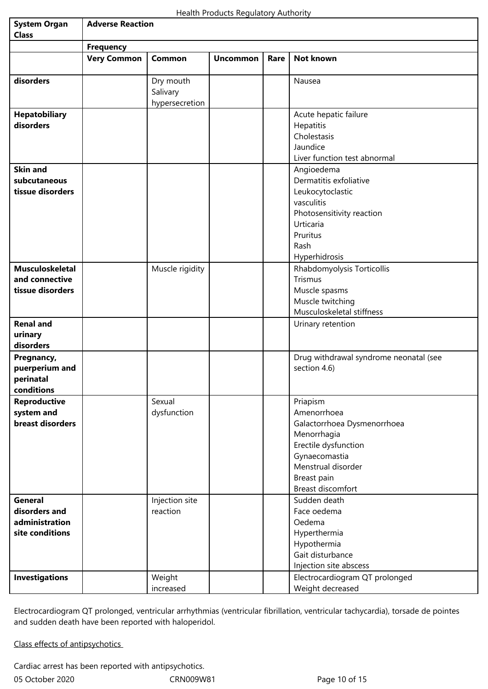| <b>System Organ</b>    | <b>Adverse Reaction</b> |                       |                 |      |                                        |  |  |
|------------------------|-------------------------|-----------------------|-----------------|------|----------------------------------------|--|--|
| <b>Class</b>           |                         |                       |                 |      |                                        |  |  |
|                        | <b>Frequency</b>        |                       |                 |      |                                        |  |  |
|                        | <b>Very Common</b>      | Common                | <b>Uncommon</b> | Rare | Not known                              |  |  |
| disorders              |                         | Dry mouth<br>Salivary |                 |      | Nausea                                 |  |  |
|                        |                         | hypersecretion        |                 |      |                                        |  |  |
| <b>Hepatobiliary</b>   |                         |                       |                 |      | Acute hepatic failure                  |  |  |
| disorders              |                         |                       |                 |      | Hepatitis                              |  |  |
|                        |                         |                       |                 |      | Cholestasis                            |  |  |
|                        |                         |                       |                 |      | Jaundice                               |  |  |
|                        |                         |                       |                 |      | Liver function test abnormal           |  |  |
| <b>Skin and</b>        |                         |                       |                 |      | Angioedema                             |  |  |
| subcutaneous           |                         |                       |                 |      | Dermatitis exfoliative                 |  |  |
| tissue disorders       |                         |                       |                 |      | Leukocytoclastic                       |  |  |
|                        |                         |                       |                 |      | vasculitis                             |  |  |
|                        |                         |                       |                 |      | Photosensitivity reaction              |  |  |
|                        |                         |                       |                 |      | Urticaria                              |  |  |
|                        |                         |                       |                 |      | Pruritus                               |  |  |
|                        |                         |                       |                 |      | Rash                                   |  |  |
|                        |                         |                       |                 |      | Hyperhidrosis                          |  |  |
| <b>Musculoskeletal</b> |                         | Muscle rigidity       |                 |      | Rhabdomyolysis Torticollis             |  |  |
| and connective         |                         |                       |                 |      | Trismus                                |  |  |
| tissue disorders       |                         |                       |                 |      | Muscle spasms                          |  |  |
|                        |                         |                       |                 |      | Muscle twitching                       |  |  |
|                        |                         |                       |                 |      | Musculoskeletal stiffness              |  |  |
| <b>Renal and</b>       |                         |                       |                 |      | Urinary retention                      |  |  |
| urinary                |                         |                       |                 |      |                                        |  |  |
| disorders              |                         |                       |                 |      |                                        |  |  |
| Pregnancy,             |                         |                       |                 |      | Drug withdrawal syndrome neonatal (see |  |  |
| puerperium and         |                         |                       |                 |      | section 4.6)                           |  |  |
| perinatal              |                         |                       |                 |      |                                        |  |  |
| conditions             |                         |                       |                 |      |                                        |  |  |
| <b>Reproductive</b>    |                         | Sexual                |                 |      | Priapism                               |  |  |
| system and             |                         | dysfunction           |                 |      | Amenorrhoea                            |  |  |
| breast disorders       |                         |                       |                 |      | Galactorrhoea Dysmenorrhoea            |  |  |
|                        |                         |                       |                 |      | Menorrhagia                            |  |  |
|                        |                         |                       |                 |      | Erectile dysfunction                   |  |  |
|                        |                         |                       |                 |      | Gynaecomastia                          |  |  |
|                        |                         |                       |                 |      | Menstrual disorder                     |  |  |
|                        |                         |                       |                 |      | Breast pain                            |  |  |
|                        |                         |                       |                 |      | Breast discomfort                      |  |  |
| <b>General</b>         |                         |                       |                 |      | Sudden death                           |  |  |
|                        |                         | Injection site        |                 |      |                                        |  |  |
| disorders and          |                         | reaction              |                 |      | Face oedema                            |  |  |
| administration         |                         |                       |                 |      | Oedema                                 |  |  |
| site conditions        |                         |                       |                 |      | Hyperthermia                           |  |  |
|                        |                         |                       |                 |      | Hypothermia                            |  |  |
|                        |                         |                       |                 |      | Gait disturbance                       |  |  |
|                        |                         |                       |                 |      | Injection site abscess                 |  |  |
| <b>Investigations</b>  |                         | Weight                |                 |      | Electrocardiogram QT prolonged         |  |  |
|                        |                         | increased             |                 |      | Weight decreased                       |  |  |

Electrocardiogram QT prolonged, ventricular arrhythmias (ventricular fibrillation, ventricular tachycardia), torsade de pointes and sudden death have been reported with haloperidol.

Class effects of antipsychotics

05 October 2020 **CRN009W81** CRN009W81 Page 10 of 15 Cardiac arrest has been reported with antipsychotics.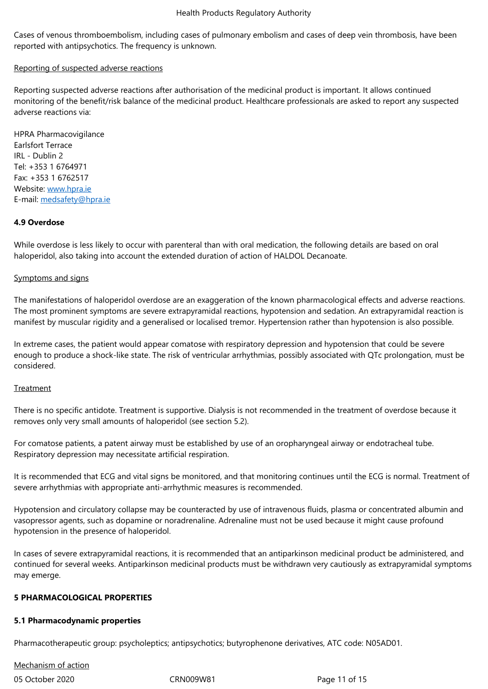reported with antipsychotics. The frequency is unknown.

#### Reporting of suspected adverse reactions

Reporting suspected adverse reactions after authorisation of the medicinal product is important. It allows continued monitoring of the benefit/risk balance of the medicinal product. Healthcare professionals are asked to report any suspected adverse reactions via:

HPRA Pharmacovigilance Earlsfort Terrace IRL - Dublin 2 Tel: +353 1 6764971 Fax: +353 1 6762517 Website: www.hpra.ie E-mail: medsafety@hpra.ie

#### **4.9 Over[dose](/cm/SitePages/www.hpra.ie)**

While [overdose is less likely](/cm/SitePages/medsafety@hpra.ie) to occur with parenteral than with oral medication, the following details are based on oral haloperidol, also taking into account the extended duration of action of HALDOL Decanoate.

#### Symptoms and signs

The manifestations of haloperidol overdose are an exaggeration of the known pharmacological effects and adverse reactions. The most prominent symptoms are severe extrapyramidal reactions, hypotension and sedation. An extrapyramidal reaction is manifest by muscular rigidity and a generalised or localised tremor. Hypertension rather than hypotension is also possible.

In extreme cases, the patient would appear comatose with respiratory depression and hypotension that could be severe enough to produce a shock‑like state. The risk of ventricular arrhythmias, possibly associated with QTc prolongation, must be considered.

#### **Treatment**

There is no specific antidote. Treatment is supportive. Dialysis is not recommended in the treatment of overdose because it removes only very small amounts of haloperidol (see section 5.2).

For comatose patients, a patent airway must be established by use of an oropharyngeal airway or endotracheal tube. Respiratory depression may necessitate artificial respiration.

It is recommended that ECG and vital signs be monitored, and that monitoring continues until the ECG is normal. Treatment of severe arrhythmias with appropriate anti-arrhythmic measures is recommended.

Hypotension and circulatory collapse may be counteracted by use of intravenous fluids, plasma or concentrated albumin and vasopressor agents, such as dopamine or noradrenaline. Adrenaline must not be used because it might cause profound hypotension in the presence of haloperidol.

In cases of severe extrapyramidal reactions, it is recommended that an antiparkinson medicinal product be administered, and continued for several weeks. Antiparkinson medicinal products must be withdrawn very cautiously as extrapyramidal symptoms may emerge.

#### **5 PHARMACOLOGICAL PROPERTIES**

#### **5.1 Pharmacodynamic properties**

Pharmacotherapeutic group: psycholeptics; antipsychotics; butyrophenone derivatives, ATC code: N05AD01.

Mechanism of action

05 October 2020 **CRN009W81** CRN009W81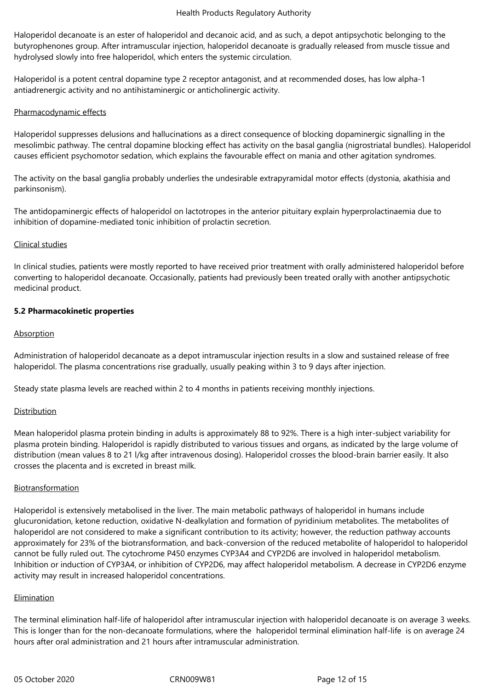Haloperidol decanoate is an ester of haloperidol and decanoic acid, and as such, a depot antipsychotic belonging to the butyrophenones group. After intramuscular injection, haloperidol decanoate is gradually released from muscle tissue and hydrolysed slowly into free haloperidol, which enters the systemic circulation.

Haloperidol is a potent central dopamine type 2 receptor antagonist, and at recommended doses, has low alpha-1 antiadrenergic activity and no antihistaminergic or anticholinergic activity.

#### Pharmacodynamic effects

Haloperidol suppresses delusions and hallucinations as a direct consequence of blocking dopaminergic signalling in the mesolimbic pathway. The central dopamine blocking effect has activity on the basal ganglia (nigrostriatal bundles). Haloperidol causes efficient psychomotor sedation, which explains the favourable effect on mania and other agitation syndromes.

The activity on the basal ganglia probably underlies the undesirable extrapyramidal motor effects (dystonia, akathisia and parkinsonism).

The antidopaminergic effects of haloperidol on lactotropes in the anterior pituitary explain hyperprolactinaemia due to inhibition of dopamine‑mediated tonic inhibition of prolactin secretion.

## Clinical studies

In clinical studies, patients were mostly reported to have received prior treatment with orally administered haloperidol before converting to haloperidol decanoate. Occasionally, patients had previously been treated orally with another antipsychotic medicinal product.

## **5.2 Pharmacokinetic properties**

## Absorption

Administration of haloperidol decanoate as a depot intramuscular injection results in a slow and sustained release of free haloperidol. The plasma concentrations rise gradually, usually peaking within 3 to 9 days after injection.

Steady state plasma levels are reached within 2 to 4 months in patients receiving monthly injections.

# Distribution

Mean haloperidol plasma protein binding in adults is approximately 88 to 92%. There is a high inter-subject variability for plasma protein binding. Haloperidol is rapidly distributed to various tissues and organs, as indicated by the large volume of distribution (mean values 8 to 21 l/kg after intravenous dosing). Haloperidol crosses the blood-brain barrier easily. It also crosses the placenta and is excreted in breast milk.

#### **Biotransformation**

Haloperidol is extensively metabolised in the liver. The main metabolic pathways of haloperidol in humans include glucuronidation, ketone reduction, oxidative N‑dealkylation and formation of pyridinium metabolites. The metabolites of haloperidol are not considered to make a significant contribution to its activity; however, the reduction pathway accounts approximately for 23% of the biotransformation, and back‑conversion of the reduced metabolite of haloperidol to haloperidol cannot be fully ruled out. The cytochrome P450 enzymes CYP3A4 and CYP2D6 are involved in haloperidol metabolism. Inhibition or induction of CYP3A4, or inhibition of CYP2D6, may affect haloperidol metabolism. A decrease in CYP2D6 enzyme activity may result in increased haloperidol concentrations.

# Elimination

The terminal elimination half-life of haloperidol after intramuscular injection with haloperidol decanoate is on average 3 weeks. This is longer than for the non-decanoate formulations, where the haloperidol terminal elimination half-life is on average 24 hours after oral administration and 21 hours after intramuscular administration.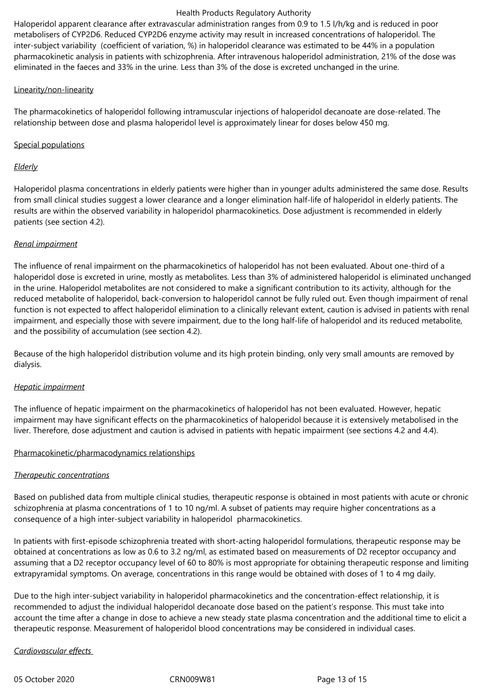Haloperidol apparent clearance after extravascular administration ranges from 0.9 to 1.5 l/h/kg and is reduced in poor metabolisers of CYP2D6. Reduced CYP2D6 enzyme activity may result in increased concentrations of haloperidol. The inter-subject variability (coefficient of variation, %) in haloperidol clearance was estimated to be 44% in a population pharmacokinetic analysis in patients with schizophrenia. After intravenous haloperidol administration, 21% of the dose was eliminated in the faeces and 33% in the urine. Less than 3% of the dose is excreted unchanged in the urine.

#### Linearity/non-linearity

The pharmacokinetics of haloperidol following intramuscular injections of haloperidol decanoate are dose-related. The relationship between dose and plasma haloperidol level is approximately linear for doses below 450 mg.

# Special populations

# *Elderly*

Haloperidol plasma concentrations in elderly patients were higher than in younger adults administered the same dose. Results from small clinical studies suggest a lower clearance and a longer elimination half-life of haloperidol in elderly patients. The results are within the observed variability in haloperidol pharmacokinetics. Dose adjustment is recommended in elderly patients (see section 4.2).

## *Renal impairment*

The influence of renal impairment on the pharmacokinetics of haloperidol has not been evaluated. About one‑third of a haloperidol dose is excreted in urine, mostly as metabolites. Less than 3% of administered haloperidol is eliminated unchanged in the urine. Haloperidol metabolites are not considered to make a significant contribution to its activity, although for the reduced metabolite of haloperidol, back‑conversion to haloperidol cannot be fully ruled out. Even though impairment of renal function is not expected to affect haloperidol elimination to a clinically relevant extent, caution is advised in patients with renal impairment, and especially those with severe impairment, due to the long half-life of haloperidol and its reduced metabolite, and the possibility of accumulation (see section 4.2).

Because of the high haloperidol distribution volume and its high protein binding, only very small amounts are removed by dialysis.

# *Hepatic impairment*

The influence of hepatic impairment on the pharmacokinetics of haloperidol has not been evaluated. However, hepatic impairment may have significant effects on the pharmacokinetics of haloperidol because it is extensively metabolised in the liver. Therefore, dose adjustment and caution is advised in patients with hepatic impairment (see sections 4.2 and 4.4).

#### Pharmacokinetic/pharmacodynamics relationships

# *Therapeutic concentrations*

Based on published data from multiple clinical studies, therapeutic response is obtained in most patients with acute or chronic schizophrenia at plasma concentrations of 1 to 10 ng/ml. A subset of patients may require higher concentrations as a consequence of a high inter-subject variability in haloperidol pharmacokinetics.

In patients with first-episode schizophrenia treated with short-acting haloperidol formulations, therapeutic response may be obtained at concentrations as low as 0.6 to 3.2 ng/ml, as estimated based on measurements of D2 receptor occupancy and assuming that a D2 receptor occupancy level of 60 to 80% is most appropriate for obtaining therapeutic response and limiting extrapyramidal symptoms. On average, concentrations in this range would be obtained with doses of 1 to 4 mg daily.

Due to the high inter-subject variability in haloperidol pharmacokinetics and the concentration-effect relationship, it is recommended to adjust the individual haloperidol decanoate dose based on the patient's response. This must take into account the time after a change in dose to achieve a new steady state plasma concentration and the additional time to elicit a therapeutic response. Measurement of haloperidol blood concentrations may be considered in individual cases.

# *Cardiovascular effects*

05 October 2020 CRN009W81 Page 13 of 15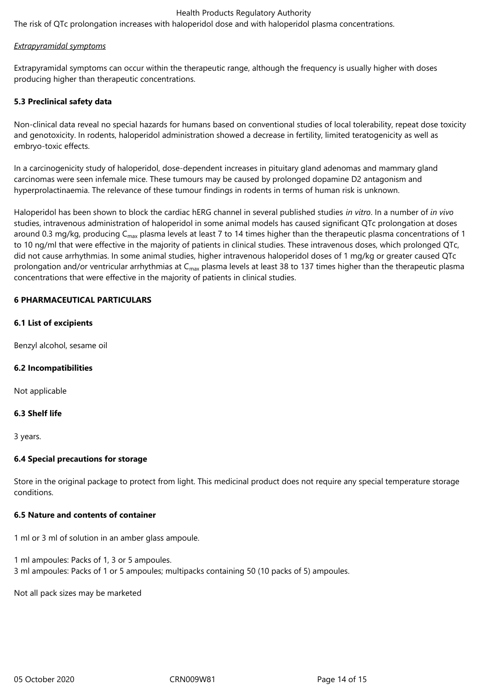The risk of QTc prolongation increases with haloperidol dose and with haloperidol plasma concentrations.

#### *Extrapyramidal symptoms*

Extrapyramidal symptoms can occur within the therapeutic range, although the frequency is usually higher with doses producing higher than therapeutic concentrations.

## **5.3 Preclinical safety data**

Non-clinical data reveal no special hazards for humans based on conventional studies of local tolerability, repeat dose toxicity and genotoxicity. In rodents, haloperidol administration showed a decrease in fertility, limited teratogenicity as well as embryo‑toxic effects.

In a carcinogenicity study of haloperidol, dose-dependent increases in pituitary gland adenomas and mammary gland carcinomas were seen infemale mice. These tumours may be caused by prolonged dopamine D2 antagonism and hyperprolactinaemia. The relevance of these tumour findings in rodents in terms of human risk is unknown.

Haloperidol has been shown to block the cardiac hERG channel in several published studies *in vitro*. In a number of *in vivo* studies, intravenous administration of haloperidol in some animal models has caused significant QTc prolongation at doses around 0.3 mg/kg, producing  $C_{\text{max}}$  plasma levels at least 7 to 14 times higher than the therapeutic plasma concentrations of 1 to 10 ng/ml that were effective in the majority of patients in clinical studies. These intravenous doses, which prolonged QTc, did not cause arrhythmias. In some animal studies, higher intravenous haloperidol doses of 1 mg/kg or greater caused QTc prolongation and/or ventricular arrhythmias at C<sub>max</sub> plasma levels at least 38 to 137 times higher than the therapeutic plasma concentrations that were effective in the majority of patients in clinical studies.

## **6 PHARMACEUTICAL PARTICULARS**

## **6.1 List of excipients**

Benzyl alcohol, sesame oil

#### **6.2 Incompatibilities**

Not applicable

#### **6.3 Shelf life**

3 years.

#### **6.4 Special precautions for storage**

Store in the original package to protect from light. This medicinal product does not require any special temperature storage conditions.

#### **6.5 Nature and contents of container**

1 ml or 3 ml of solution in an amber glass ampoule.

1 ml ampoules: Packs of 1, 3 or 5 ampoules. 3 ml ampoules: Packs of 1 or 5 ampoules; multipacks containing 50 (10 packs of 5) ampoules.

Not all pack sizes may be marketed